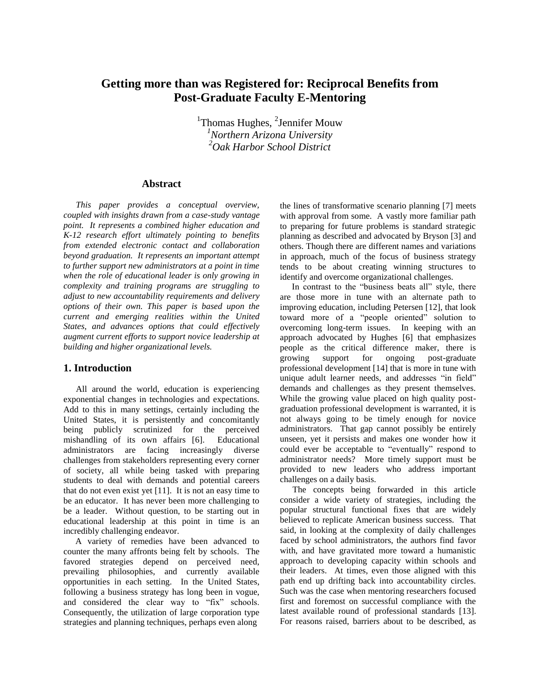# **Getting more than was Registered for: Reciprocal Benefits from Post-Graduate Faculty E-Mentoring**

<sup>1</sup>Thomas Hughes, <sup>2</sup>Jennifer Mouw *<sup>1</sup>Northern Arizona University <sup>2</sup>Oak Harbor School District*

#### **Abstract**

*This paper provides a conceptual overview, coupled with insights drawn from a case-study vantage point. It represents a combined higher education and K-12 research effort ultimately pointing to benefits from extended electronic contact and collaboration beyond graduation. It represents an important attempt to further support new administrators at a point in time when the role of educational leader is only growing in complexity and training programs are struggling to adjust to new accountability requirements and delivery options of their own. This paper is based upon the current and emerging realities within the United States, and advances options that could effectively augment current efforts to support novice leadership at building and higher organizational levels.* 

#### **1. Introduction**

All around the world, education is experiencing exponential changes in technologies and expectations. Add to this in many settings, certainly including the United States, it is persistently and concomitantly being publicly scrutinized for the perceived mishandling of its own affairs [6]. Educational administrators are facing increasingly diverse challenges from stakeholders representing every corner of society, all while being tasked with preparing students to deal with demands and potential careers that do not even exist yet [11]. It is not an easy time to be an educator. It has never been more challenging to be a leader. Without question, to be starting out in educational leadership at this point in time is an incredibly challenging endeavor.

A variety of remedies have been advanced to counter the many affronts being felt by schools. The favored strategies depend on perceived need, prevailing philosophies, and currently available opportunities in each setting. In the United States, following a business strategy has long been in vogue, and considered the clear way to "fix" schools. Consequently, the utilization of large corporation type strategies and planning techniques, perhaps even along

the lines of transformative scenario planning [7] meets with approval from some. A vastly more familiar path to preparing for future problems is standard strategic planning as described and advocated by Bryson [3] and others. Though there are different names and variations in approach, much of the focus of business strategy tends to be about creating winning structures to identify and overcome organizational challenges.

In contrast to the "business beats all" style, there are those more in tune with an alternate path to improving education, including Petersen [12], that look toward more of a "people oriented" solution to overcoming long-term issues. In keeping with an approach advocated by Hughes [6] that emphasizes people as the critical difference maker, there is growing support for ongoing post-graduate professional development [14] that is more in tune with unique adult learner needs, and addresses "in field" demands and challenges as they present themselves. While the growing value placed on high quality postgraduation professional development is warranted, it is not always going to be timely enough for novice administrators. That gap cannot possibly be entirely unseen, yet it persists and makes one wonder how it could ever be acceptable to "eventually" respond to administrator needs? More timely support must be provided to new leaders who address important challenges on a daily basis.

The concepts being forwarded in this article consider a wide variety of strategies, including the popular structural functional fixes that are widely believed to replicate American business success. That said, in looking at the complexity of daily challenges faced by school administrators, the authors find favor with, and have gravitated more toward a humanistic approach to developing capacity within schools and their leaders. At times, even those aligned with this path end up drifting back into accountability circles. Such was the case when mentoring researchers focused first and foremost on successful compliance with the latest available round of professional standards [13]. For reasons raised, barriers about to be described, as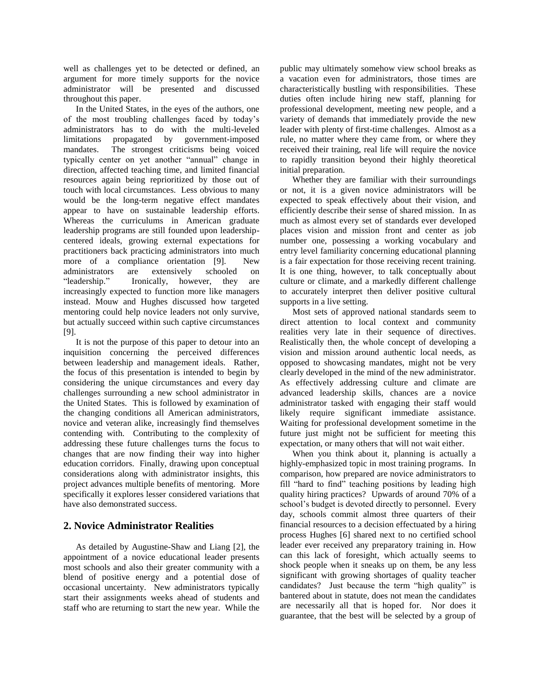well as challenges yet to be detected or defined, an argument for more timely supports for the novice administrator will be presented and discussed throughout this paper.

In the United States, in the eyes of the authors, one of the most troubling challenges faced by today's administrators has to do with the multi-leveled limitations propagated by government-imposed mandates. The strongest criticisms being voiced typically center on yet another "annual" change in direction, affected teaching time, and limited financial resources again being reprioritized by those out of touch with local circumstances. Less obvious to many would be the long-term negative effect mandates appear to have on sustainable leadership efforts. Whereas the curriculums in American graduate leadership programs are still founded upon leadershipcentered ideals, growing external expectations for practitioners back practicing administrators into much more of a compliance orientation [9]. New administrators are extensively schooled on "leadership." Ironically, however, they are increasingly expected to function more like managers instead. Mouw and Hughes discussed how targeted mentoring could help novice leaders not only survive, but actually succeed within such captive circumstances [9].

It is not the purpose of this paper to detour into an inquisition concerning the perceived differences between leadership and management ideals. Rather, the focus of this presentation is intended to begin by considering the unique circumstances and every day challenges surrounding a new school administrator in the United States. This is followed by examination of the changing conditions all American administrators, novice and veteran alike, increasingly find themselves contending with. Contributing to the complexity of addressing these future challenges turns the focus to changes that are now finding their way into higher education corridors. Finally, drawing upon conceptual considerations along with administrator insights, this project advances multiple benefits of mentoring. More specifically it explores lesser considered variations that have also demonstrated success.

### **2. Novice Administrator Realities**

As detailed by Augustine-Shaw and Liang [2], the appointment of a novice educational leader presents most schools and also their greater community with a blend of positive energy and a potential dose of occasional uncertainty. New administrators typically start their assignments weeks ahead of students and staff who are returning to start the new year. While the public may ultimately somehow view school breaks as a vacation even for administrators, those times are characteristically bustling with responsibilities. These duties often include hiring new staff, planning for professional development, meeting new people, and a variety of demands that immediately provide the new leader with plenty of first-time challenges. Almost as a rule, no matter where they came from, or where they received their training, real life will require the novice to rapidly transition beyond their highly theoretical initial preparation.

Whether they are familiar with their surroundings or not, it is a given novice administrators will be expected to speak effectively about their vision, and efficiently describe their sense of shared mission. In as much as almost every set of standards ever developed places vision and mission front and center as job number one, possessing a working vocabulary and entry level familiarity concerning educational planning is a fair expectation for those receiving recent training. It is one thing, however, to talk conceptually about culture or climate, and a markedly different challenge to accurately interpret then deliver positive cultural supports in a live setting.

Most sets of approved national standards seem to direct attention to local context and community realities very late in their sequence of directives. Realistically then, the whole concept of developing a vision and mission around authentic local needs, as opposed to showcasing mandates, might not be very clearly developed in the mind of the new administrator. As effectively addressing culture and climate are advanced leadership skills, chances are a novice administrator tasked with engaging their staff would likely require significant immediate assistance. Waiting for professional development sometime in the future just might not be sufficient for meeting this expectation, or many others that will not wait either.

When you think about it, planning is actually a highly-emphasized topic in most training programs. In comparison, how prepared are novice administrators to fill "hard to find" teaching positions by leading high quality hiring practices? Upwards of around 70% of a school's budget is devoted directly to personnel. Every day, schools commit almost three quarters of their financial resources to a decision effectuated by a hiring process Hughes [6] shared next to no certified school leader ever received any preparatory training in. How can this lack of foresight, which actually seems to shock people when it sneaks up on them, be any less significant with growing shortages of quality teacher candidates? Just because the term "high quality" is bantered about in statute, does not mean the candidates are necessarily all that is hoped for. Nor does it guarantee, that the best will be selected by a group of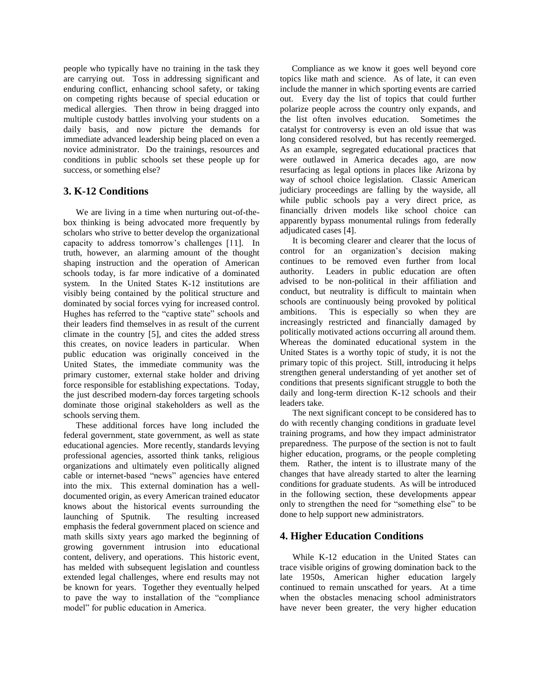people who typically have no training in the task they are carrying out. Toss in addressing significant and enduring conflict, enhancing school safety, or taking on competing rights because of special education or medical allergies. Then throw in being dragged into multiple custody battles involving your students on a daily basis, and now picture the demands for immediate advanced leadership being placed on even a novice administrator. Do the trainings, resources and conditions in public schools set these people up for success, or something else?

### **3. K-12 Conditions**

We are living in a time when nurturing out-of-thebox thinking is being advocated more frequently by scholars who strive to better develop the organizational capacity to address tomorrow's challenges [11]. In truth, however, an alarming amount of the thought shaping instruction and the operation of American schools today, is far more indicative of a dominated system. In the United States K-12 institutions are visibly being contained by the political structure and dominated by social forces vying for increased control. Hughes has referred to the "captive state" schools and their leaders find themselves in as result of the current climate in the country [5], and cites the added stress this creates, on novice leaders in particular. When public education was originally conceived in the United States, the immediate community was the primary customer, external stake holder and driving force responsible for establishing expectations. Today, the just described modern-day forces targeting schools dominate those original stakeholders as well as the schools serving them.

These additional forces have long included the federal government, state government, as well as state educational agencies. More recently, standards levying professional agencies, assorted think tanks, religious organizations and ultimately even politically aligned cable or internet-based "news" agencies have entered into the mix. This external domination has a welldocumented origin, as every American trained educator knows about the historical events surrounding the launching of Sputnik. The resulting increased emphasis the federal government placed on science and math skills sixty years ago marked the beginning of growing government intrusion into educational content, delivery, and operations. This historic event, has melded with subsequent legislation and countless extended legal challenges, where end results may not be known for years. Together they eventually helped to pave the way to installation of the "compliance model" for public education in America.

Compliance as we know it goes well beyond core topics like math and science. As of late, it can even include the manner in which sporting events are carried out. Every day the list of topics that could further polarize people across the country only expands, and the list often involves education. Sometimes the catalyst for controversy is even an old issue that was long considered resolved, but has recently reemerged. As an example, segregated educational practices that were outlawed in America decades ago, are now resurfacing as legal options in places like Arizona by way of school choice legislation. Classic American judiciary proceedings are falling by the wayside, all while public schools pay a very direct price, as financially driven models like school choice can apparently bypass monumental rulings from federally adjudicated cases [4].

It is becoming clearer and clearer that the locus of control for an organization's decision making continues to be removed even further from local authority. Leaders in public education are often advised to be non-political in their affiliation and conduct, but neutrality is difficult to maintain when schools are continuously being provoked by political ambitions. This is especially so when they are increasingly restricted and financially damaged by politically motivated actions occurring all around them. Whereas the dominated educational system in the United States is a worthy topic of study, it is not the primary topic of this project. Still, introducing it helps strengthen general understanding of yet another set of conditions that presents significant struggle to both the daily and long-term direction K-12 schools and their leaders take.

The next significant concept to be considered has to do with recently changing conditions in graduate level training programs, and how they impact administrator preparedness. The purpose of the section is not to fault higher education, programs, or the people completing them. Rather, the intent is to illustrate many of the changes that have already started to alter the learning conditions for graduate students. As will be introduced in the following section, these developments appear only to strengthen the need for "something else" to be done to help support new administrators.

## **4. Higher Education Conditions**

While K-12 education in the United States can trace visible origins of growing domination back to the late 1950s, American higher education largely continued to remain unscathed for years. At a time when the obstacles menacing school administrators have never been greater, the very higher education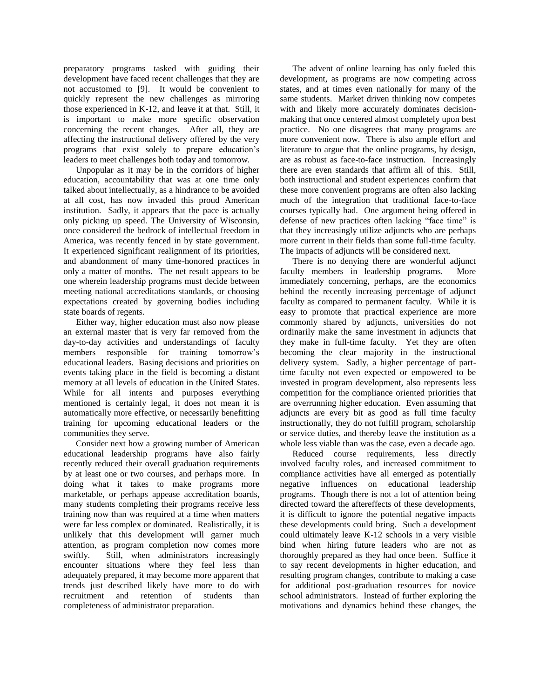preparatory programs tasked with guiding their development have faced recent challenges that they are not accustomed to [9]. It would be convenient to quickly represent the new challenges as mirroring those experienced in K-12, and leave it at that. Still, it is important to make more specific observation concerning the recent changes. After all, they are affecting the instructional delivery offered by the very programs that exist solely to prepare education's leaders to meet challenges both today and tomorrow.

Unpopular as it may be in the corridors of higher education, accountability that was at one time only talked about intellectually, as a hindrance to be avoided at all cost, has now invaded this proud American institution. Sadly, it appears that the pace is actually only picking up speed. The University of Wisconsin, once considered the bedrock of intellectual freedom in America, was recently fenced in by state government. It experienced significant realignment of its priorities, and abandonment of many time-honored practices in only a matter of months. The net result appears to be one wherein leadership programs must decide between meeting national accreditations standards, or choosing expectations created by governing bodies including state boards of regents.

Either way, higher education must also now please an external master that is very far removed from the day-to-day activities and understandings of faculty members responsible for training tomorrow's educational leaders. Basing decisions and priorities on events taking place in the field is becoming a distant memory at all levels of education in the United States. While for all intents and purposes everything mentioned is certainly legal, it does not mean it is automatically more effective, or necessarily benefitting training for upcoming educational leaders or the communities they serve.

Consider next how a growing number of American educational leadership programs have also fairly recently reduced their overall graduation requirements by at least one or two courses, and perhaps more. In doing what it takes to make programs more marketable, or perhaps appease accreditation boards, many students completing their programs receive less training now than was required at a time when matters were far less complex or dominated. Realistically, it is unlikely that this development will garner much attention, as program completion now comes more swiftly. Still, when administrators increasingly encounter situations where they feel less than adequately prepared, it may become more apparent that trends just described likely have more to do with recruitment and retention of students than completeness of administrator preparation.

The advent of online learning has only fueled this development, as programs are now competing across states, and at times even nationally for many of the same students. Market driven thinking now competes with and likely more accurately dominates decisionmaking that once centered almost completely upon best practice. No one disagrees that many programs are more convenient now. There is also ample effort and literature to argue that the online programs, by design, are as robust as face-to-face instruction. Increasingly there are even standards that affirm all of this. Still, both instructional and student experiences confirm that these more convenient programs are often also lacking much of the integration that traditional face-to-face courses typically had. One argument being offered in defense of new practices often lacking "face time" is that they increasingly utilize adjuncts who are perhaps more current in their fields than some full-time faculty. The impacts of adjuncts will be considered next.

There is no denying there are wonderful adjunct faculty members in leadership programs. More immediately concerning, perhaps, are the economics behind the recently increasing percentage of adjunct faculty as compared to permanent faculty. While it is easy to promote that practical experience are more commonly shared by adjuncts, universities do not ordinarily make the same investment in adjuncts that they make in full-time faculty. Yet they are often becoming the clear majority in the instructional delivery system. Sadly, a higher percentage of parttime faculty not even expected or empowered to be invested in program development, also represents less competition for the compliance oriented priorities that are overrunning higher education. Even assuming that adjuncts are every bit as good as full time faculty instructionally, they do not fulfill program, scholarship or service duties, and thereby leave the institution as a whole less viable than was the case, even a decade ago.

Reduced course requirements, less directly involved faculty roles, and increased commitment to compliance activities have all emerged as potentially negative influences on educational leadership programs. Though there is not a lot of attention being directed toward the aftereffects of these developments, it is difficult to ignore the potential negative impacts these developments could bring. Such a development could ultimately leave K-12 schools in a very visible bind when hiring future leaders who are not as thoroughly prepared as they had once been. Suffice it to say recent developments in higher education, and resulting program changes, contribute to making a case for additional post-graduation resources for novice school administrators. Instead of further exploring the motivations and dynamics behind these changes, the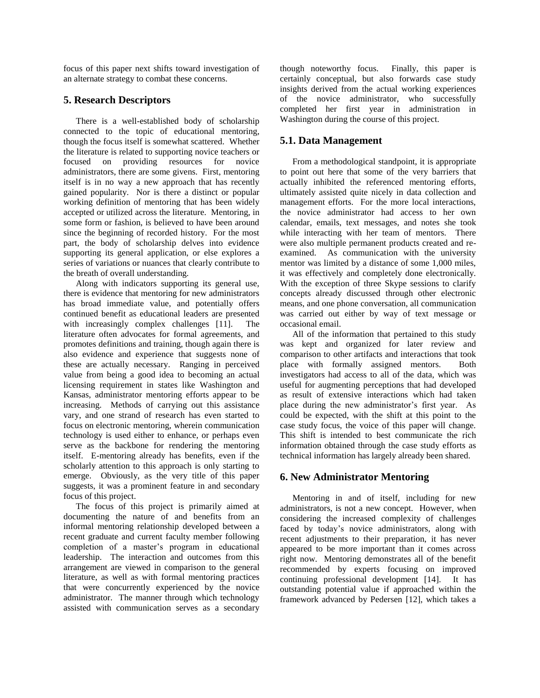focus of this paper next shifts toward investigation of an alternate strategy to combat these concerns.

#### **5. Research Descriptors**

There is a well-established body of scholarship connected to the topic of educational mentoring, though the focus itself is somewhat scattered. Whether the literature is related to supporting novice teachers or focused on providing resources for novice administrators, there are some givens. First, mentoring itself is in no way a new approach that has recently gained popularity. Nor is there a distinct or popular working definition of mentoring that has been widely accepted or utilized across the literature. Mentoring, in some form or fashion, is believed to have been around since the beginning of recorded history. For the most part, the body of scholarship delves into evidence supporting its general application, or else explores a series of variations or nuances that clearly contribute to the breath of overall understanding.

Along with indicators supporting its general use, there is evidence that mentoring for new administrators has broad immediate value, and potentially offers continued benefit as educational leaders are presented with increasingly complex challenges [11]. The literature often advocates for formal agreements, and promotes definitions and training, though again there is also evidence and experience that suggests none of these are actually necessary. Ranging in perceived value from being a good idea to becoming an actual licensing requirement in states like Washington and Kansas, administrator mentoring efforts appear to be increasing. Methods of carrying out this assistance vary, and one strand of research has even started to focus on electronic mentoring, wherein communication technology is used either to enhance, or perhaps even serve as the backbone for rendering the mentoring itself. E-mentoring already has benefits, even if the scholarly attention to this approach is only starting to emerge. Obviously, as the very title of this paper suggests, it was a prominent feature in and secondary focus of this project.

The focus of this project is primarily aimed at documenting the nature of and benefits from an informal mentoring relationship developed between a recent graduate and current faculty member following completion of a master's program in educational leadership. The interaction and outcomes from this arrangement are viewed in comparison to the general literature, as well as with formal mentoring practices that were concurrently experienced by the novice administrator. The manner through which technology assisted with communication serves as a secondary though noteworthy focus. Finally, this paper is certainly conceptual, but also forwards case study insights derived from the actual working experiences of the novice administrator, who successfully completed her first year in administration in Washington during the course of this project.

### **5.1. Data Management**

From a methodological standpoint, it is appropriate to point out here that some of the very barriers that actually inhibited the referenced mentoring efforts, ultimately assisted quite nicely in data collection and management efforts. For the more local interactions, the novice administrator had access to her own calendar, emails, text messages, and notes she took while interacting with her team of mentors. There were also multiple permanent products created and reexamined. As communication with the university mentor was limited by a distance of some 1,000 miles, it was effectively and completely done electronically. With the exception of three Skype sessions to clarify concepts already discussed through other electronic means, and one phone conversation, all communication was carried out either by way of text message or occasional email.

All of the information that pertained to this study was kept and organized for later review and comparison to other artifacts and interactions that took place with formally assigned mentors. Both investigators had access to all of the data, which was useful for augmenting perceptions that had developed as result of extensive interactions which had taken place during the new administrator's first year. As could be expected, with the shift at this point to the case study focus, the voice of this paper will change. This shift is intended to best communicate the rich information obtained through the case study efforts as technical information has largely already been shared.

### **6. New Administrator Mentoring**

Mentoring in and of itself, including for new administrators, is not a new concept. However, when considering the increased complexity of challenges faced by today's novice administrators, along with recent adjustments to their preparation, it has never appeared to be more important than it comes across right now. Mentoring demonstrates all of the benefit recommended by experts focusing on improved continuing professional development [14]. It has outstanding potential value if approached within the framework advanced by Pedersen [12], which takes a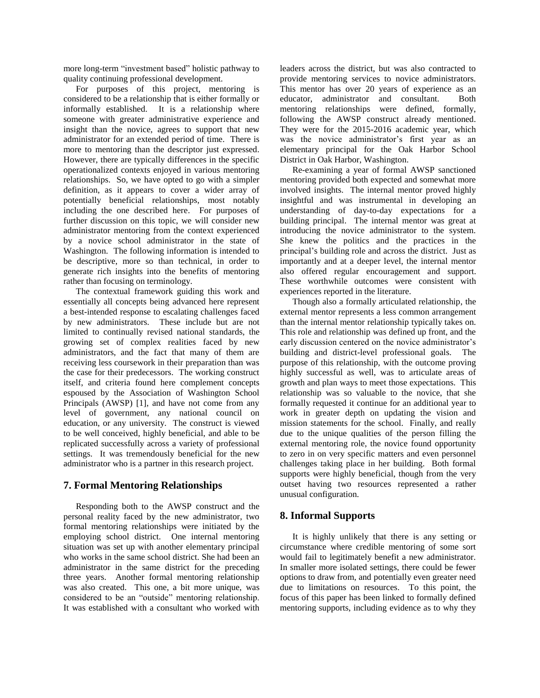more long-term "investment based" holistic pathway to quality continuing professional development.

For purposes of this project, mentoring is considered to be a relationship that is either formally or informally established. It is a relationship where someone with greater administrative experience and insight than the novice, agrees to support that new administrator for an extended period of time. There is more to mentoring than the descriptor just expressed. However, there are typically differences in the specific operationalized contexts enjoyed in various mentoring relationships. So, we have opted to go with a simpler definition, as it appears to cover a wider array of potentially beneficial relationships, most notably including the one described here. For purposes of further discussion on this topic, we will consider new administrator mentoring from the context experienced by a novice school administrator in the state of Washington. The following information is intended to be descriptive, more so than technical, in order to generate rich insights into the benefits of mentoring rather than focusing on terminology.

The contextual framework guiding this work and essentially all concepts being advanced here represent a best-intended response to escalating challenges faced by new administrators. These include but are not limited to continually revised national standards, the growing set of complex realities faced by new administrators, and the fact that many of them are receiving less coursework in their preparation than was the case for their predecessors. The working construct itself, and criteria found here complement concepts espoused by the Association of Washington School Principals (AWSP) [1], and have not come from any level of government, any national council on education, or any university. The construct is viewed to be well conceived, highly beneficial, and able to be replicated successfully across a variety of professional settings. It was tremendously beneficial for the new administrator who is a partner in this research project.

## **7. Formal Mentoring Relationships**

Responding both to the AWSP construct and the personal reality faced by the new administrator, two formal mentoring relationships were initiated by the employing school district. One internal mentoring situation was set up with another elementary principal who works in the same school district. She had been an administrator in the same district for the preceding three years. Another formal mentoring relationship was also created. This one, a bit more unique, was considered to be an "outside" mentoring relationship. It was established with a consultant who worked with

leaders across the district, but was also contracted to provide mentoring services to novice administrators. This mentor has over 20 years of experience as an educator, administrator and consultant. Both mentoring relationships were defined, formally, following the AWSP construct already mentioned. They were for the 2015-2016 academic year, which was the novice administrator's first year as an elementary principal for the Oak Harbor School District in Oak Harbor, Washington.

Re-examining a year of formal AWSP sanctioned mentoring provided both expected and somewhat more involved insights. The internal mentor proved highly insightful and was instrumental in developing an understanding of day-to-day expectations for a building principal. The internal mentor was great at introducing the novice administrator to the system. She knew the politics and the practices in the principal's building role and across the district. Just as importantly and at a deeper level, the internal mentor also offered regular encouragement and support. These worthwhile outcomes were consistent with experiences reported in the literature.

Though also a formally articulated relationship, the external mentor represents a less common arrangement than the internal mentor relationship typically takes on. This role and relationship was defined up front, and the early discussion centered on the novice administrator's building and district-level professional goals. The purpose of this relationship, with the outcome proving highly successful as well, was to articulate areas of growth and plan ways to meet those expectations. This relationship was so valuable to the novice, that she formally requested it continue for an additional year to work in greater depth on updating the vision and mission statements for the school. Finally, and really due to the unique qualities of the person filling the external mentoring role, the novice found opportunity to zero in on very specific matters and even personnel challenges taking place in her building. Both formal supports were highly beneficial, though from the very outset having two resources represented a rather unusual configuration.

## **8. Informal Supports**

It is highly unlikely that there is any setting or circumstance where credible mentoring of some sort would fail to legitimately benefit a new administrator. In smaller more isolated settings, there could be fewer options to draw from, and potentially even greater need due to limitations on resources. To this point, the focus of this paper has been linked to formally defined mentoring supports, including evidence as to why they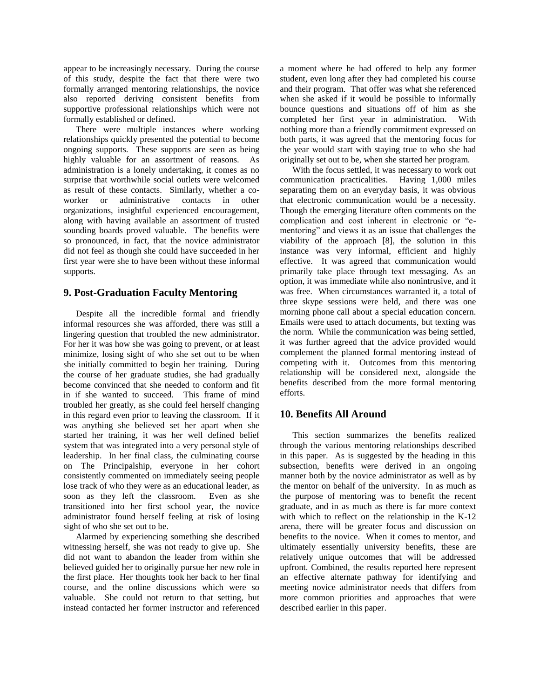appear to be increasingly necessary. During the course of this study, despite the fact that there were two formally arranged mentoring relationships, the novice also reported deriving consistent benefits from supportive professional relationships which were not formally established or defined.

There were multiple instances where working relationships quickly presented the potential to become ongoing supports. These supports are seen as being highly valuable for an assortment of reasons. As administration is a lonely undertaking, it comes as no surprise that worthwhile social outlets were welcomed as result of these contacts. Similarly, whether a coworker or administrative contacts in other organizations, insightful experienced encouragement, along with having available an assortment of trusted sounding boards proved valuable. The benefits were so pronounced, in fact, that the novice administrator did not feel as though she could have succeeded in her first year were she to have been without these informal supports.

### **9. Post-Graduation Faculty Mentoring**

Despite all the incredible formal and friendly informal resources she was afforded, there was still a lingering question that troubled the new administrator. For her it was how she was going to prevent, or at least minimize, losing sight of who she set out to be when she initially committed to begin her training. During the course of her graduate studies, she had gradually become convinced that she needed to conform and fit in if she wanted to succeed. This frame of mind troubled her greatly, as she could feel herself changing in this regard even prior to leaving the classroom. If it was anything she believed set her apart when she started her training, it was her well defined belief system that was integrated into a very personal style of leadership. In her final class, the culminating course on The Principalship, everyone in her cohort consistently commented on immediately seeing people lose track of who they were as an educational leader, as soon as they left the classroom. Even as she transitioned into her first school year, the novice administrator found herself feeling at risk of losing sight of who she set out to be.

Alarmed by experiencing something she described witnessing herself, she was not ready to give up. She did not want to abandon the leader from within she believed guided her to originally pursue her new role in the first place. Her thoughts took her back to her final course, and the online discussions which were so valuable. She could not return to that setting, but instead contacted her former instructor and referenced

a moment where he had offered to help any former student, even long after they had completed his course and their program. That offer was what she referenced when she asked if it would be possible to informally bounce questions and situations off of him as she completed her first year in administration. With nothing more than a friendly commitment expressed on both parts, it was agreed that the mentoring focus for the year would start with staying true to who she had originally set out to be, when she started her program.

With the focus settled, it was necessary to work out communication practicalities. Having 1,000 miles separating them on an everyday basis, it was obvious that electronic communication would be a necessity. Though the emerging literature often comments on the complication and cost inherent in electronic or "ementoring" and views it as an issue that challenges the viability of the approach [8], the solution in this instance was very informal, efficient and highly effective. It was agreed that communication would primarily take place through text messaging. As an option, it was immediate while also nonintrusive, and it was free. When circumstances warranted it, a total of three skype sessions were held, and there was one morning phone call about a special education concern. Emails were used to attach documents, but texting was the norm. While the communication was being settled, it was further agreed that the advice provided would complement the planned formal mentoring instead of competing with it. Outcomes from this mentoring relationship will be considered next, alongside the benefits described from the more formal mentoring efforts.

## **10. Benefits All Around**

This section summarizes the benefits realized through the various mentoring relationships described in this paper. As is suggested by the heading in this subsection, benefits were derived in an ongoing manner both by the novice administrator as well as by the mentor on behalf of the university. In as much as the purpose of mentoring was to benefit the recent graduate, and in as much as there is far more context with which to reflect on the relationship in the K-12 arena, there will be greater focus and discussion on benefits to the novice. When it comes to mentor, and ultimately essentially university benefits, these are relatively unique outcomes that will be addressed upfront. Combined, the results reported here represent an effective alternate pathway for identifying and meeting novice administrator needs that differs from more common priorities and approaches that were described earlier in this paper.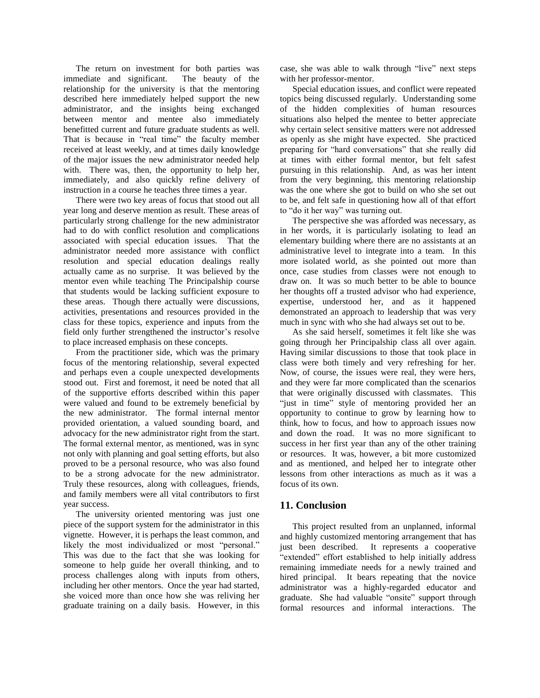The return on investment for both parties was immediate and significant. The beauty of the relationship for the university is that the mentoring described here immediately helped support the new administrator, and the insights being exchanged between mentor and mentee also immediately benefitted current and future graduate students as well. That is because in "real time" the faculty member received at least weekly, and at times daily knowledge of the major issues the new administrator needed help with. There was, then, the opportunity to help her, immediately, and also quickly refine delivery of instruction in a course he teaches three times a year.

There were two key areas of focus that stood out all year long and deserve mention as result. These areas of particularly strong challenge for the new administrator had to do with conflict resolution and complications associated with special education issues. That the administrator needed more assistance with conflict resolution and special education dealings really actually came as no surprise. It was believed by the mentor even while teaching The Principalship course that students would be lacking sufficient exposure to these areas. Though there actually were discussions, activities, presentations and resources provided in the class for these topics, experience and inputs from the field only further strengthened the instructor's resolve to place increased emphasis on these concepts.

From the practitioner side, which was the primary focus of the mentoring relationship, several expected and perhaps even a couple unexpected developments stood out. First and foremost, it need be noted that all of the supportive efforts described within this paper were valued and found to be extremely beneficial by the new administrator. The formal internal mentor provided orientation, a valued sounding board, and advocacy for the new administrator right from the start. The formal external mentor, as mentioned, was in sync not only with planning and goal setting efforts, but also proved to be a personal resource, who was also found to be a strong advocate for the new administrator. Truly these resources, along with colleagues, friends, and family members were all vital contributors to first year success.

The university oriented mentoring was just one piece of the support system for the administrator in this vignette. However, it is perhaps the least common, and likely the most individualized or most "personal." This was due to the fact that she was looking for someone to help guide her overall thinking, and to process challenges along with inputs from others, including her other mentors. Once the year had started, she voiced more than once how she was reliving her graduate training on a daily basis. However, in this

case, she was able to walk through "live" next steps with her professor-mentor.

Special education issues, and conflict were repeated topics being discussed regularly. Understanding some of the hidden complexities of human resources situations also helped the mentee to better appreciate why certain select sensitive matters were not addressed as openly as she might have expected. She practiced preparing for "hard conversations" that she really did at times with either formal mentor, but felt safest pursuing in this relationship. And, as was her intent from the very beginning, this mentoring relationship was the one where she got to build on who she set out to be, and felt safe in questioning how all of that effort to "do it her way" was turning out.

The perspective she was afforded was necessary, as in her words, it is particularly isolating to lead an elementary building where there are no assistants at an administrative level to integrate into a team. In this more isolated world, as she pointed out more than once, case studies from classes were not enough to draw on. It was so much better to be able to bounce her thoughts off a trusted advisor who had experience, expertise, understood her, and as it happened demonstrated an approach to leadership that was very much in sync with who she had always set out to be.

As she said herself, sometimes it felt like she was going through her Principalship class all over again. Having similar discussions to those that took place in class were both timely and very refreshing for her. Now, of course, the issues were real, they were hers, and they were far more complicated than the scenarios that were originally discussed with classmates. This "just in time" style of mentoring provided her an opportunity to continue to grow by learning how to think, how to focus, and how to approach issues now and down the road. It was no more significant to success in her first year than any of the other training or resources. It was, however, a bit more customized and as mentioned, and helped her to integrate other lessons from other interactions as much as it was a focus of its own.

#### **11. Conclusion**

This project resulted from an unplanned, informal and highly customized mentoring arrangement that has just been described. It represents a cooperative "extended" effort established to help initially address remaining immediate needs for a newly trained and hired principal. It bears repeating that the novice administrator was a highly-regarded educator and graduate. She had valuable "onsite" support through formal resources and informal interactions. The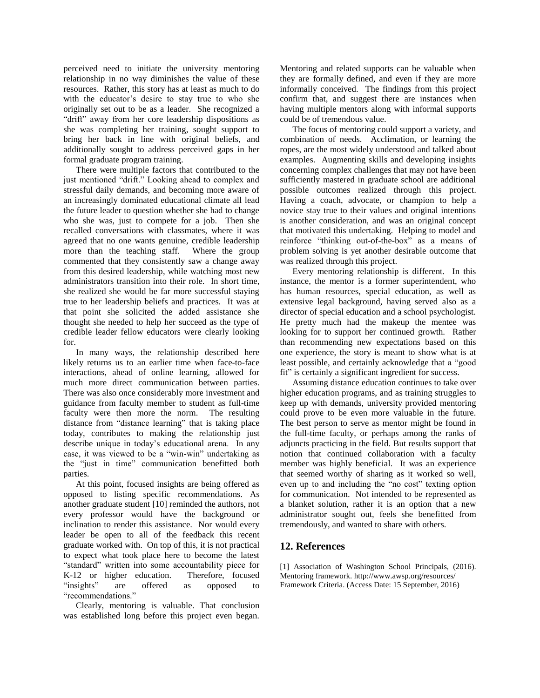perceived need to initiate the university mentoring relationship in no way diminishes the value of these resources. Rather, this story has at least as much to do with the educator's desire to stay true to who she originally set out to be as a leader. She recognized a "drift" away from her core leadership dispositions as she was completing her training, sought support to bring her back in line with original beliefs, and additionally sought to address perceived gaps in her formal graduate program training.

There were multiple factors that contributed to the just mentioned "drift." Looking ahead to complex and stressful daily demands, and becoming more aware of an increasingly dominated educational climate all lead the future leader to question whether she had to change who she was, just to compete for a job. Then she recalled conversations with classmates, where it was agreed that no one wants genuine, credible leadership more than the teaching staff. Where the group commented that they consistently saw a change away from this desired leadership, while watching most new administrators transition into their role. In short time, she realized she would be far more successful staying true to her leadership beliefs and practices. It was at that point she solicited the added assistance she thought she needed to help her succeed as the type of credible leader fellow educators were clearly looking for.

In many ways, the relationship described here likely returns us to an earlier time when face-to-face interactions, ahead of online learning, allowed for much more direct communication between parties. There was also once considerably more investment and guidance from faculty member to student as full-time faculty were then more the norm. The resulting distance from "distance learning" that is taking place today, contributes to making the relationship just describe unique in today's educational arena. In any case, it was viewed to be a "win-win" undertaking as the "just in time" communication benefitted both parties.

At this point, focused insights are being offered as opposed to listing specific recommendations. As another graduate student [10] reminded the authors, not every professor would have the background or inclination to render this assistance. Nor would every leader be open to all of the feedback this recent graduate worked with. On top of this, it is not practical to expect what took place here to become the latest "standard" written into some accountability piece for K-12 or higher education. Therefore, focused "insights" are offered as opposed to "recommendations."

Clearly, mentoring is valuable. That conclusion was established long before this project even began.

Mentoring and related supports can be valuable when they are formally defined, and even if they are more informally conceived. The findings from this project confirm that, and suggest there are instances when having multiple mentors along with informal supports could be of tremendous value.

The focus of mentoring could support a variety, and combination of needs. Acclimation, or learning the ropes, are the most widely understood and talked about examples. Augmenting skills and developing insights concerning complex challenges that may not have been sufficiently mastered in graduate school are additional possible outcomes realized through this project. Having a coach, advocate, or champion to help a novice stay true to their values and original intentions is another consideration, and was an original concept that motivated this undertaking. Helping to model and reinforce "thinking out-of-the-box" as a means of problem solving is yet another desirable outcome that was realized through this project.

Every mentoring relationship is different. In this instance, the mentor is a former superintendent, who has human resources, special education, as well as extensive legal background, having served also as a director of special education and a school psychologist. He pretty much had the makeup the mentee was looking for to support her continued growth. Rather than recommending new expectations based on this one experience, the story is meant to show what is at least possible, and certainly acknowledge that a "good fit" is certainly a significant ingredient for success.

Assuming distance education continues to take over higher education programs, and as training struggles to keep up with demands, university provided mentoring could prove to be even more valuable in the future. The best person to serve as mentor might be found in the full-time faculty, or perhaps among the ranks of adjuncts practicing in the field. But results support that notion that continued collaboration with a faculty member was highly beneficial. It was an experience that seemed worthy of sharing as it worked so well, even up to and including the "no cost" texting option for communication. Not intended to be represented as a blanket solution, rather it is an option that a new administrator sought out, feels she benefitted from tremendously, and wanted to share with others.

### **12. References**

[1] Association of Washington School Principals, (2016). Mentoring framework. http://www.awsp.org/resources/ [Framework](http://www.awsp.org/resources/FrameworkCriteria) Criteria. (Access Date: 15 September, 2016)